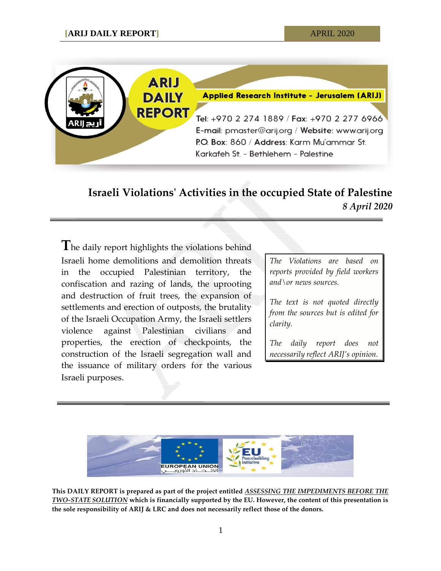

## **Israeli Violations' Activities in the occupied State of Palestine** *8 April 2020*

**T**he daily report highlights the violations behind Israeli home demolitions and demolition threats in the occupied Palestinian territory, the confiscation and razing of lands, the uprooting and destruction of fruit trees, the expansion of settlements and erection of outposts, the brutality of the Israeli Occupation Army, the Israeli settlers violence against Palestinian civilians and properties, the erection of checkpoints, the construction of the Israeli segregation wall and the issuance of military orders for the various Israeli purposes.

*The Violations are based on reports provided by field workers and\or news sources.*

*The text is not quoted directly from the sources but is edited for clarity.*

*The daily report does not necessarily reflect ARIJ's opinion.*



**This DAILY REPORT is prepared as part of the project entitled** *ASSESSING THE IMPEDIMENTS BEFORE THE TWO-STATE SOLUTION* **which is financially supported by the EU. However, the content of this presentation is the sole responsibility of ARIJ & LRC and does not necessarily reflect those of the donors.**